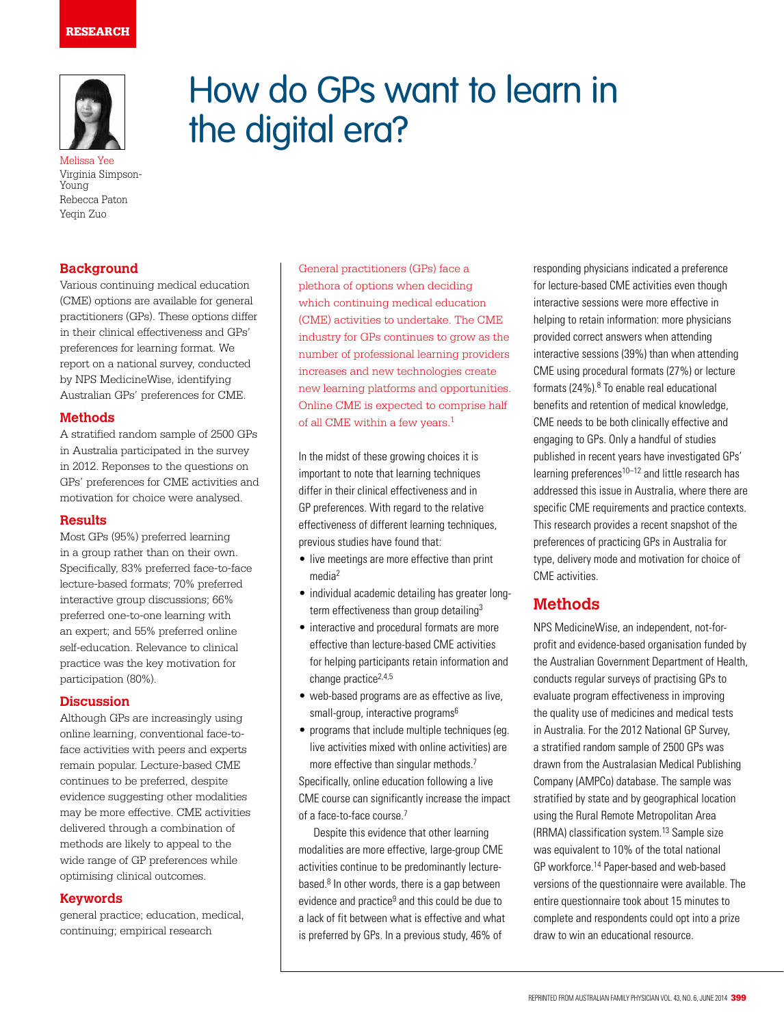### RESEARCH



Melissa Yee Virginia Simpson-Young Rebecca Paton Yeqin Zuo

# **Background**

Various continuing medical education (CME) options are available for general practitioners (GPs). These options differ in their clinical effectiveness and GPs' preferences for learning format. We report on a national survey, conducted by NPS MedicineWise, identifying Australian GPs' preferences for CME.

### **Methods**

A stratified random sample of 2500 GPs in Australia participated in the survey in 2012. Reponses to the questions on GPs' preferences for CME activities and motivation for choice were analysed.

#### **Results**

Most GPs (95%) preferred learning in a group rather than on their own. Specifically, 83% preferred face-to-face lecture-based formats; 70% preferred interactive group discussions; 66% preferred one-to-one learning with an expert; and 55% preferred online self-education. Relevance to clinical practice was the key motivation for participation (80%).

### **Discussion**

Although GPs are increasingly using online learning, conventional face-toface activities with peers and experts remain popular. Lecture-based CME continues to be preferred, despite evidence suggesting other modalities may be more effective. CME activities delivered through a combination of methods are likely to appeal to the wide range of GP preferences while optimising clinical outcomes.

### **Keywords**

general practice; education, medical, continuing; empirical research

General practitioners (GPs) face a plethora of options when deciding which continuing medical education (CME) activities to undertake. The CME industry for GPs continues to grow as the number of professional learning providers increases and new technologies create new learning platforms and opportunities. Online CME is expected to comprise half of all CME within a few years.<sup>1</sup>

How do GPs want to learn in

the digital era?

In the midst of these growing choices it is important to note that learning techniques differ in their clinical effectiveness and in GP preferences. With regard to the relative effectiveness of different learning techniques, previous studies have found that:

- live meetings are more effective than print media2
- individual academic detailing has greater longterm effectiveness than group detailing<sup>3</sup>
- interactive and procedural formats are more effective than lecture-based CME activities for helping participants retain information and change practice<sup>2,4,5</sup>
- web-based programs are as effective as live, small-group, interactive programs<sup>6</sup>
- programs that include multiple techniques (eg. live activities mixed with online activities) are more effective than singular methods.<sup>7</sup>

Specifically, online education following a live CME course can significantly increase the impact of a face-to-face course.<sup>7</sup>

Despite this evidence that other learning modalities are more effective, large-group CME activities continue to be predominantly lecturebased.<sup>8</sup> In other words, there is a gap between evidence and practice<sup>9</sup> and this could be due to a lack of fit between what is effective and what is preferred by GPs. In a previous study, 46% of

responding physicians indicated a preference for lecture-based CME activities even though interactive sessions were more effective in helping to retain information: more physicians provided correct answers when attending interactive sessions (39%) than when attending CME using procedural formats (27%) or lecture formats  $(24\%)$ . <sup>8</sup> To enable real educational benefits and retention of medical knowledge, CME needs to be both clinically effective and engaging to GPs. Only a handful of studies published in recent years have investigated GPs' learning preferences<sup>10–12</sup> and little research has addressed this issue in Australia, where there are specific CME requirements and practice contexts. This research provides a recent snapshot of the preferences of practicing GPs in Australia for type, delivery mode and motivation for choice of CME activities.

# **Methods**

NPS MedicineWise, an independent, not-forprofit and evidence-based organisation funded by the Australian Government Department of Health, conducts regular surveys of practising GPs to evaluate program effectiveness in improving the quality use of medicines and medical tests in Australia. For the 2012 National GP Survey, a stratified random sample of 2500 GPs was drawn from the Australasian Medical Publishing Company (AMPCo) database. The sample was stratified by state and by geographical location using the Rural Remote Metropolitan Area (RRMA) classification system.<sup>13</sup> Sample size was equivalent to 10% of the total national GP workforce.14 Paper-based and web-based versions of the questionnaire were available. The entire questionnaire took about 15 minutes to complete and respondents could opt into a prize draw to win an educational resource.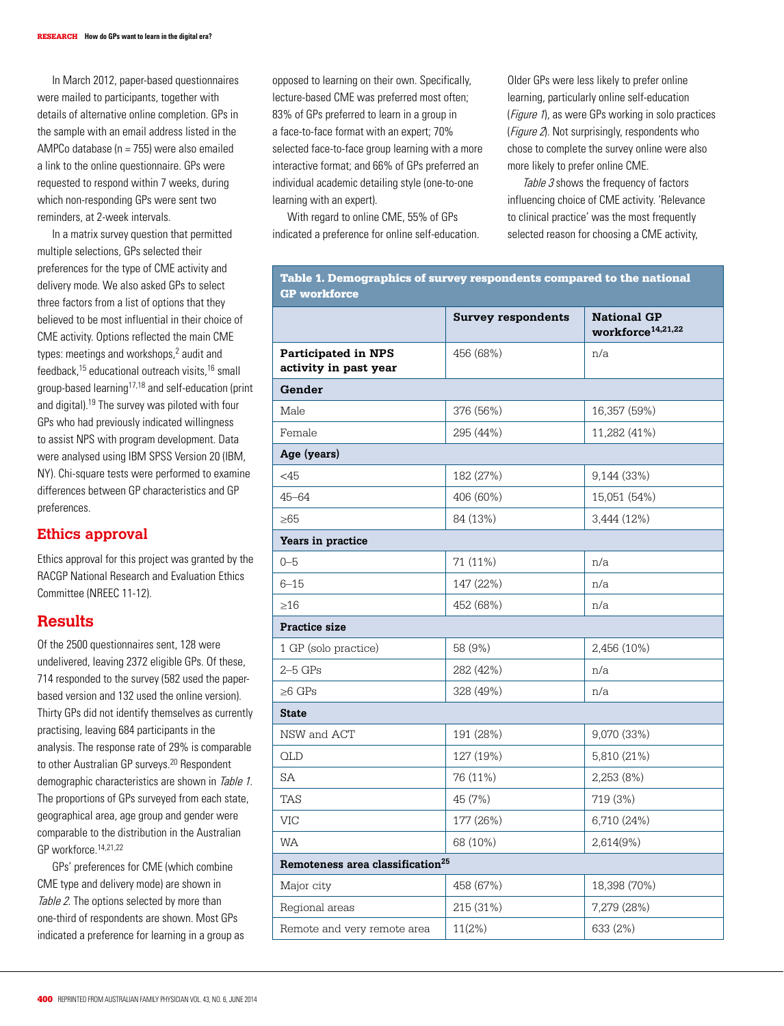In March 2012, paper-based questionnaires were mailed to participants, together with details of alternative online completion. GPs in the sample with an email address listed in the AMPCo database (n = 755) were also emailed a link to the online questionnaire. GPs were requested to respond within 7 weeks, during which non-responding GPs were sent two reminders, at 2-week intervals.

In a matrix survey question that permitted multiple selections, GPs selected their preferences for the type of CME activity and delivery mode. We also asked GPs to select three factors from a list of options that they believed to be most influential in their choice of CME activity. Options reflected the main CME types: meetings and workshops,<sup>2</sup> audit and feedback,15 educational outreach visits,16 small group-based learning17,18 and self-education (print and digital).19 The survey was piloted with four GPs who had previously indicated willingness to assist NPS with program development. Data were analysed using IBM SPSS Version 20 (IBM, NY). Chi-square tests were performed to examine differences between GP characteristics and GP preferences.

#### **Ethics approval**

Ethics approval for this project was granted by the RACGP National Research and Evaluation Ethics Committee (NREEC 11-12).

## **Results**

Of the 2500 questionnaires sent, 128 were undelivered, leaving 2372 eligible GPs. Of these, 714 responded to the survey (582 used the paperbased version and 132 used the online version). Thirty GPs did not identify themselves as currently practising, leaving 684 participants in the analysis. The response rate of 29% is comparable to other Australian GP surveys.<sup>20</sup> Respondent demographic characteristics are shown in Table 1. The proportions of GPs surveyed from each state, geographical area, age group and gender were comparable to the distribution in the Australian GP workforce.14,21,22

GPs' preferences for CME (which combine CME type and delivery mode) are shown in Table 2. The options selected by more than one-third of respondents are shown. Most GPs indicated a preference for learning in a group as opposed to learning on their own. Specifically, lecture-based CME was preferred most often; 83% of GPs preferred to learn in a group in a face-to-face format with an expert; 70% selected face-to-face group learning with a more interactive format; and 66% of GPs preferred an individual academic detailing style (one-to-one learning with an expert).

With regard to online CME, 55% of GPs indicated a preference for online self-education. Older GPs were less likely to prefer online learning, particularly online self-education (*Figure 1*), as were GPs working in solo practices (*Figure 2*). Not surprisingly, respondents who chose to complete the survey online were also more likely to prefer online CME.

Table 3 shows the frequency of factors influencing choice of CME activity. 'Relevance to clinical practice' was the most frequently selected reason for choosing a CME activity,

| <b>GP</b> workforce                                 |                           |                                                     |  |  |  |  |  |
|-----------------------------------------------------|---------------------------|-----------------------------------------------------|--|--|--|--|--|
|                                                     | <b>Survey respondents</b> | <b>National GP</b><br>workforce <sup>14,21,22</sup> |  |  |  |  |  |
| <b>Participated in NPS</b><br>activity in past year | 456 (68%)                 | n/a                                                 |  |  |  |  |  |
| Gender                                              |                           |                                                     |  |  |  |  |  |
| Male                                                | 376 (56%)                 | 16,357 (59%)                                        |  |  |  |  |  |
| Female                                              | 295 (44%)                 | 11,282 (41%)                                        |  |  |  |  |  |
| Age (years)                                         |                           |                                                     |  |  |  |  |  |
| $<$ 45                                              | 182 (27%)                 | 9,144(33%)                                          |  |  |  |  |  |
| $45 - 64$                                           | 406 (60%)                 | 15,051 (54%)                                        |  |  |  |  |  |
| $\geq 65$                                           | 84 (13%)                  | 3,444 (12%)                                         |  |  |  |  |  |
| Years in practice                                   |                           |                                                     |  |  |  |  |  |
| $0 - 5$                                             | 71 (11%)                  | n/a                                                 |  |  |  |  |  |
| $6 - 15$                                            | 147 (22%)                 | n/a                                                 |  |  |  |  |  |
| $\geq 16$                                           | 452 (68%)                 | n/a                                                 |  |  |  |  |  |
| Practice size                                       |                           |                                                     |  |  |  |  |  |
| 1 GP (solo practice)                                | 58 (9%)                   | 2,456 (10%)                                         |  |  |  |  |  |
|                                                     |                           |                                                     |  |  |  |  |  |
| $2-5$ GPs                                           | 282 (42%)                 | n/a                                                 |  |  |  |  |  |
| $\geq 6$ GPs                                        | 328 (49%)                 | n/a                                                 |  |  |  |  |  |
| <b>State</b>                                        |                           |                                                     |  |  |  |  |  |
| NSW and ACT                                         | 191 (28%)                 | 9,070 (33%)                                         |  |  |  |  |  |
| <b>OLD</b>                                          | 127 (19%)                 | 5,810 (21%)                                         |  |  |  |  |  |
| SA                                                  | 76 (11%)                  | 2,253(8%)                                           |  |  |  |  |  |
| <b>TAS</b>                                          | 45 (7%)                   | 719 (3%)                                            |  |  |  |  |  |
| <b>VIC</b>                                          | 177 (26%)                 | 6,710 (24%)                                         |  |  |  |  |  |
| <b>WA</b>                                           | 68 (10%)                  | 2,614(9%)                                           |  |  |  |  |  |
| Remoteness area classification <sup>25</sup>        |                           |                                                     |  |  |  |  |  |
| Major city                                          | 458 (67%)                 | 18,398 (70%)                                        |  |  |  |  |  |
| Regional areas                                      | 215 (31%)                 | 7,279 (28%)                                         |  |  |  |  |  |

# Table 1. Demographics of survey respondents compared to the national GP workforce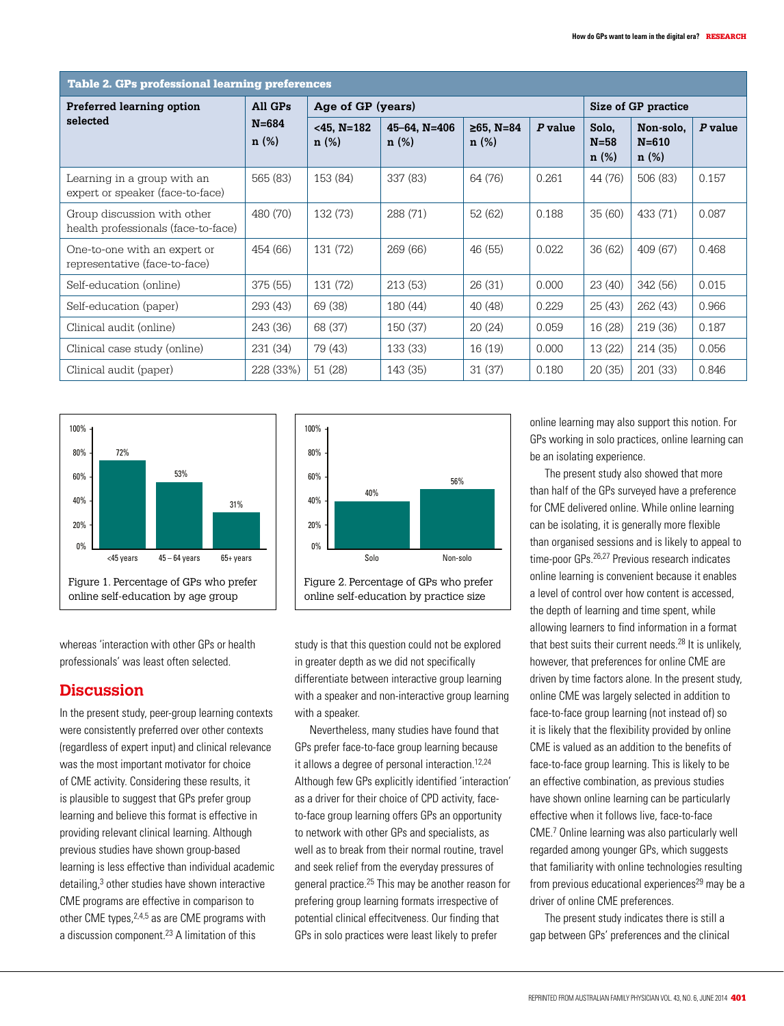| <b>Table 2. GPs professional learning preferences</b>              |                                 |                       |                      |                      |           |                           |                                |           |  |
|--------------------------------------------------------------------|---------------------------------|-----------------------|----------------------|----------------------|-----------|---------------------------|--------------------------------|-----------|--|
| <b>Preferred learning option</b><br>selected                       | All GPs<br>$N = 684$<br>$n(\%)$ | Age of GP (years)     |                      |                      |           | Size of GP practice       |                                |           |  |
|                                                                    |                                 | $<$ 45, N=182<br>n(%) | 45-64, N=406<br>n(%) | $≥65$ , N=84<br>n(%) | $P$ value | Solo,<br>$N = 58$<br>n(%) | Non-solo.<br>$N = 610$<br>n(%) | $P$ value |  |
| Learning in a group with an<br>expert or speaker (face-to-face)    | 565 (83)                        | 153 (84)              | 337 (83)             | 64 (76)              | 0.261     | 44 (76)                   | 506 (83)                       | 0.157     |  |
| Group discussion with other<br>health professionals (face-to-face) | 480 (70)                        | 132 (73)              | 288 (71)             | 52 (62)              | 0.188     | 35(60)                    | 433 (71)                       | 0.087     |  |
| One-to-one with an expert or<br>representative (face-to-face)      | 454 (66)                        | 131 (72)              | 269 (66)             | 46 (55)              | 0.022     | 36(62)                    | 409 (67)                       | 0.468     |  |
| Self-education (online)                                            | 375 (55)                        | 131 (72)              | 213(53)              | 26(31)               | 0.000     | 23 (40)                   | 342 (56)                       | 0.015     |  |
| Self-education (paper)                                             | 293 (43)                        | 69 (38)               | 180 (44)             | 40 (48)              | 0.229     | 25(43)                    | 262 (43)                       | 0.966     |  |
| Clinical audit (online)                                            | 243 (36)                        | 68 (37)               | 150 (37)             | 20(24)               | 0.059     | 16(28)                    | 219(36)                        | 0.187     |  |
| Clinical case study (online)                                       | 231 (34)                        | 79 (43)               | 133 (33)             | 16(19)               | 0.000     | 13(22)                    | 214(35)                        | 0.056     |  |
| Clinical audit (paper)                                             | 228 (33%)                       | 51(28)                | 143 (35)             | 31(37)               | 0.180     | 20(35)                    | 201 (33)                       | 0.846     |  |



whereas 'interaction with other GPs or health professionals' was least often selected.

# **Discussion**

In the present study, peer-group learning contexts were consistently preferred over other contexts (regardless of expert input) and clinical relevance was the most important motivator for choice of CME activity. Considering these results, it is plausible to suggest that GPs prefer group learning and believe this format is effective in providing relevant clinical learning. Although previous studies have shown group-based learning is less effective than individual academic detailing,<sup>3</sup> other studies have shown interactive CME programs are effective in comparison to other CME types, <sup>2,4,5</sup> as are CME programs with a discussion component.<sup>23</sup> A limitation of this



Figure 2. Percentage of GPs who prefer online self-education by practice size

study is that this question could not be explored in greater depth as we did not specifically differentiate between interactive group learning with a speaker and non-interactive group learning with a speaker.

Nevertheless, many studies have found that GPs prefer face-to-face group learning because it allows a degree of personal interaction.<sup>12,24</sup> Although few GPs explicitly identified 'interaction' as a driver for their choice of CPD activity, faceto-face group learning offers GPs an opportunity to network with other GPs and specialists, as well as to break from their normal routine, travel and seek relief from the everyday pressures of general practice.<sup>25</sup> This may be another reason for prefering group learning formats irrespective of potential clinical effecitveness. Our finding that GPs in solo practices were least likely to prefer

online learning may also support this notion. For GPs working in solo practices, online learning can be an isolating experience.

The present study also showed that more than half of the GPs surveyed have a preference for CME delivered online. While online learning can be isolating, it is generally more flexible than organised sessions and is likely to appeal to time-poor GPs.26,27 Previous research indicates online learning is convenient because it enables a level of control over how content is accessed, the depth of learning and time spent, while allowing learners to find information in a format that best suits their current needs.<sup>28</sup> It is unlikely, however, that preferences for online CME are driven by time factors alone. In the present study, online CME was largely selected in addition to face-to-face group learning (not instead of) so it is likely that the flexibility provided by online CME is valued as an addition to the benefits of face-to-face group learning. This is likely to be an effective combination, as previous studies have shown online learning can be particularly effective when it follows live, face-to-face CME.7 Online learning was also particularly well regarded among younger GPs, which suggests that familiarity with online technologies resulting from previous educational experiences $^{29}$  may be a driver of online CME preferences.

The present study indicates there is still a gap between GPs' preferences and the clinical